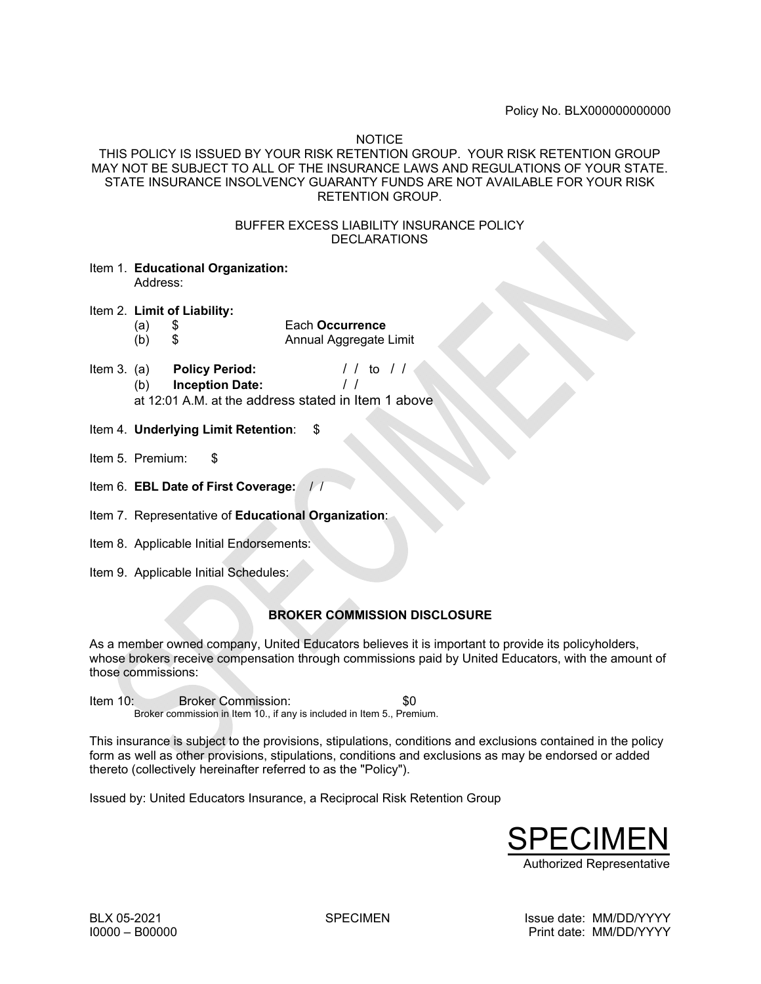Policy No. BLX000000000000

NOTICE

# THIS POLICY IS ISSUED BY YOUR RISK RETENTION GROUP. YOUR RISK RETENTION GROUP MAY NOT BE SUBJECT TO ALL OF THE INSURANCE LAWS AND REGULATIONS OF YOUR STATE. STATE INSURANCE INSOLVENCY GUARANTY FUNDS ARE NOT AVAILABLE FOR YOUR RISK RETENTION GROUP.

### BUFFER EXCESS LIABILITY INSURANCE POLICY DECLARATIONS

- Item 1. **Educational Organization:**  Address:
- Item 2. **Limit of Liability:** 
	- (a) \$ Each **Occurrence**  (b) \$ Annual Aggregate Limit
- Item 3. (a) **Policy Period:** / / to / / (b) **Inception Date:** / / at 12:01 A.M. at the address stated in Item 1 above
- Item 4. **Underlying Limit Retention**: \$
- Item 5. Premium: \$
- Item 6. **EBL Date of First Coverage:** / /
- Item 7. Representative of **Educational Organization**:
- Item 8. Applicable Initial Endorsements:
- Item 9. Applicable Initial Schedules:

# **BROKER COMMISSION DISCLOSURE**

As a member owned company, United Educators believes it is important to provide its policyholders, whose brokers receive compensation through commissions paid by United Educators, with the amount of those commissions:

Item 10: Broker Commission: \$0 Broker commission in Item 10., if any is included in Item 5., Premium.

This insurance is subject to the provisions, stipulations, conditions and exclusions contained in the policy form as well as other provisions, stipulations, conditions and exclusions as may be endorsed or added thereto (collectively hereinafter referred to as the "Policy").

Issued by: United Educators Insurance, a Reciprocal Risk Retention Group

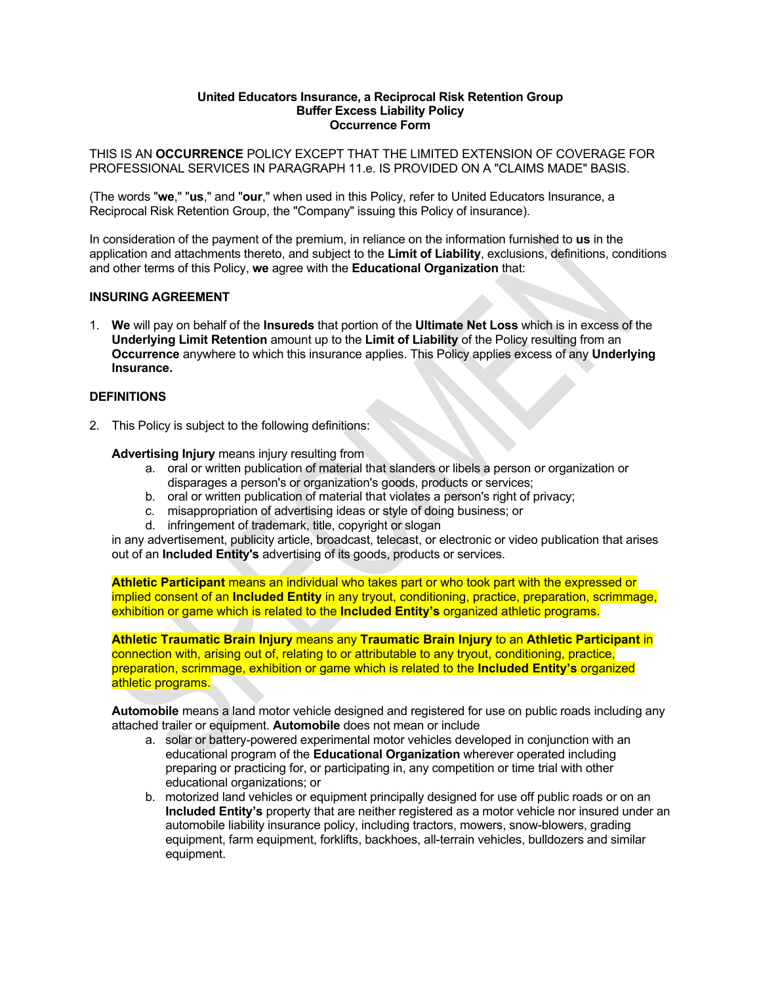#### **United Educators Insurance, a Reciprocal Risk Retention Group Buffer Excess Liability Policy Occurrence Form**

THIS IS AN **OCCURRENCE** POLICY EXCEPT THAT THE LIMITED EXTENSION OF COVERAGE FOR PROFESSIONAL SERVICES IN PARAGRAPH 11.e. IS PROVIDED ON A "CLAIMS MADE" BASIS.

(The words "**we**," "**us**," and "**our**," when used in this Policy, refer to United Educators Insurance, a Reciprocal Risk Retention Group, the "Company" issuing this Policy of insurance).

In consideration of the payment of the premium, in reliance on the information furnished to **us** in the application and attachments thereto, and subject to the **Limit of Liability**, exclusions, definitions, conditions and other terms of this Policy, **we** agree with the **Educational Organization** that:

### **INSURING AGREEMENT**

1. **We** will pay on behalf of the **Insureds** that portion of the **Ultimate Net Loss** which is in excess of the **Underlying Limit Retention** amount up to the **Limit of Liability** of the Policy resulting from an **Occurrence** anywhere to which this insurance applies. This Policy applies excess of any **Underlying Insurance.**

### **DEFINITIONS**

2. This Policy is subject to the following definitions:

**Advertising Injury** means injury resulting from

- a. oral or written publication of material that slanders or libels a person or organization or disparages a person's or organization's goods, products or services;
- b. oral or written publication of material that violates a person's right of privacy;
- c. misappropriation of advertising ideas or style of doing business; or
- d. infringement of trademark, title, copyright or slogan

in any advertisement, publicity article, broadcast, telecast, or electronic or video publication that arises out of an **Included Entity's** advertising of its goods, products or services.

**Athletic Participant** means an individual who takes part or who took part with the expressed or implied consent of an **Included Entity** in any tryout, conditioning, practice, preparation, scrimmage, exhibition or game which is related to the **Included Entity's** organized athletic programs.

**Athletic Traumatic Brain Injury** means any **Traumatic Brain Injury** to an **Athletic Participant** in connection with, arising out of, relating to or attributable to any tryout, conditioning, practice, preparation, scrimmage, exhibition or game which is related to the **Included Entity's** organized athletic programs.

**Automobile** means a land motor vehicle designed and registered for use on public roads including any attached trailer or equipment. **Automobile** does not mean or include

- a. solar or battery-powered experimental motor vehicles developed in conjunction with an educational program of the **Educational Organization** wherever operated including preparing or practicing for, or participating in, any competition or time trial with other educational organizations; or
- b. motorized land vehicles or equipment principally designed for use off public roads or on an **Included Entity's** property that are neither registered as a motor vehicle nor insured under an automobile liability insurance policy, including tractors, mowers, snow-blowers, grading equipment, farm equipment, forklifts, backhoes, all-terrain vehicles, bulldozers and similar equipment.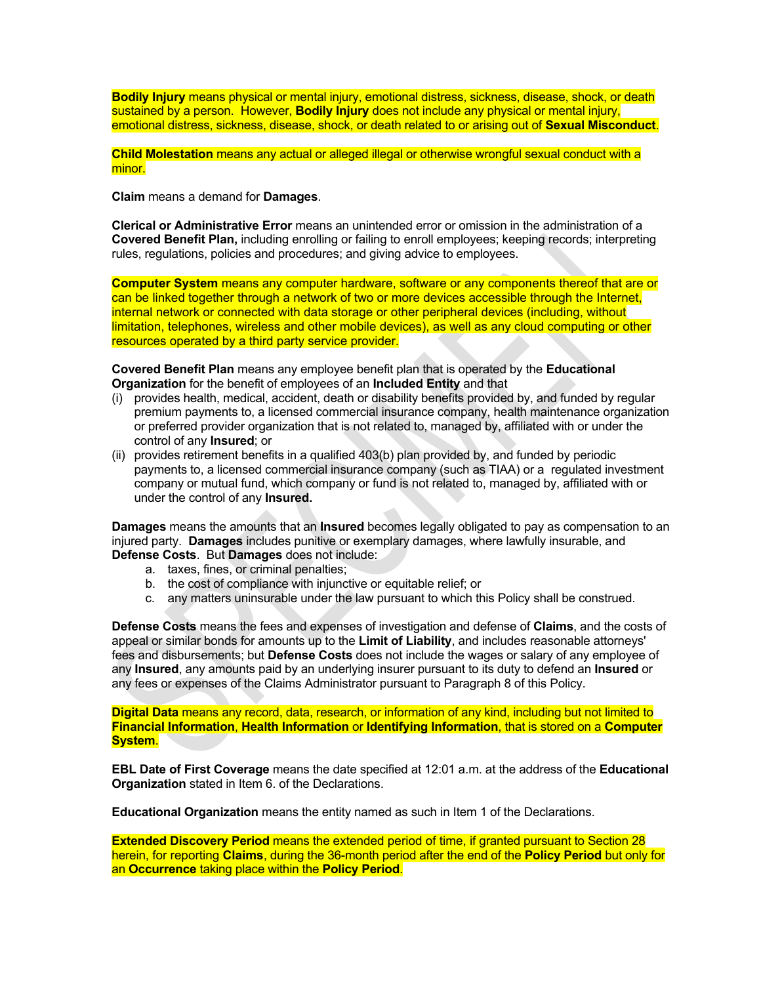**Bodily Injury** means physical or mental injury, emotional distress, sickness, disease, shock, or death sustained by a person. However, **Bodily Injury** does not include any physical or mental injury, emotional distress, sickness, disease, shock, or death related to or arising out of **Sexual Misconduct**.

**Child Molestation** means any actual or alleged illegal or otherwise wrongful sexual conduct with a minor.

**Claim** means a demand for **Damages**.

**Clerical or Administrative Error** means an unintended error or omission in the administration of a **Covered Benefit Plan,** including enrolling or failing to enroll employees; keeping records; interpreting rules, regulations, policies and procedures; and giving advice to employees.

**Computer System** means any computer hardware, software or any components thereof that are or can be linked together through a network of two or more devices accessible through the Internet, internal network or connected with data storage or other peripheral devices (including, without limitation, telephones, wireless and other mobile devices), as well as any cloud computing or other resources operated by a third party service provider.

 **Covered Benefit Plan** means any employee benefit plan that is operated by the **Educational Organization** for the benefit of employees of an **Included Entity** and that

- (i) provides health, medical, accident, death or disability benefits provided by, and funded by regular premium payments to, a licensed commercial insurance company, health maintenance organization or preferred provider organization that is not related to, managed by, affiliated with or under the control of any **Insured**; or
- (ii) provides retirement benefits in a qualified 403(b) plan provided by, and funded by periodic payments to, a licensed commercial insurance company (such as TIAA) or a regulated investment company or mutual fund, which company or fund is not related to, managed by, affiliated with or under the control of any **Insured.**

**Damages** means the amounts that an **Insured** becomes legally obligated to pay as compensation to an injured party. **Damages** includes punitive or exemplary damages, where lawfully insurable, and **Defense Costs**. But **Damages** does not include:

- a. taxes, fines, or criminal penalties;
- b. the cost of compliance with injunctive or equitable relief; or
- c. any matters uninsurable under the law pursuant to which this Policy shall be construed.

**Defense Costs** means the fees and expenses of investigation and defense of **Claims**, and the costs of appeal or similar bonds for amounts up to the **Limit of Liability**, and includes reasonable attorneys' fees and disbursements; but **Defense Costs** does not include the wages or salary of any employee of any **Insured**, any amounts paid by an underlying insurer pursuant to its duty to defend an **Insured** or any fees or expenses of the Claims Administrator pursuant to Paragraph 8 of this Policy.

**Digital Data** means any record, data, research, or information of any kind, including but not limited to **Financial Information**, **Health Information** or **Identifying Information**, that is stored on a **Computer System**.

**EBL Date of First Coverage** means the date specified at 12:01 a.m. at the address of the **Educational Organization** stated in Item 6. of the Declarations.

**Educational Organization** means the entity named as such in Item 1 of the Declarations.

**Extended Discovery Period** means the extended period of time, if granted pursuant to Section 28 herein, for reporting **Claims**, during the 36-month period after the end of the **Policy Period** but only for an **Occurrence** taking place within the **Policy Period**.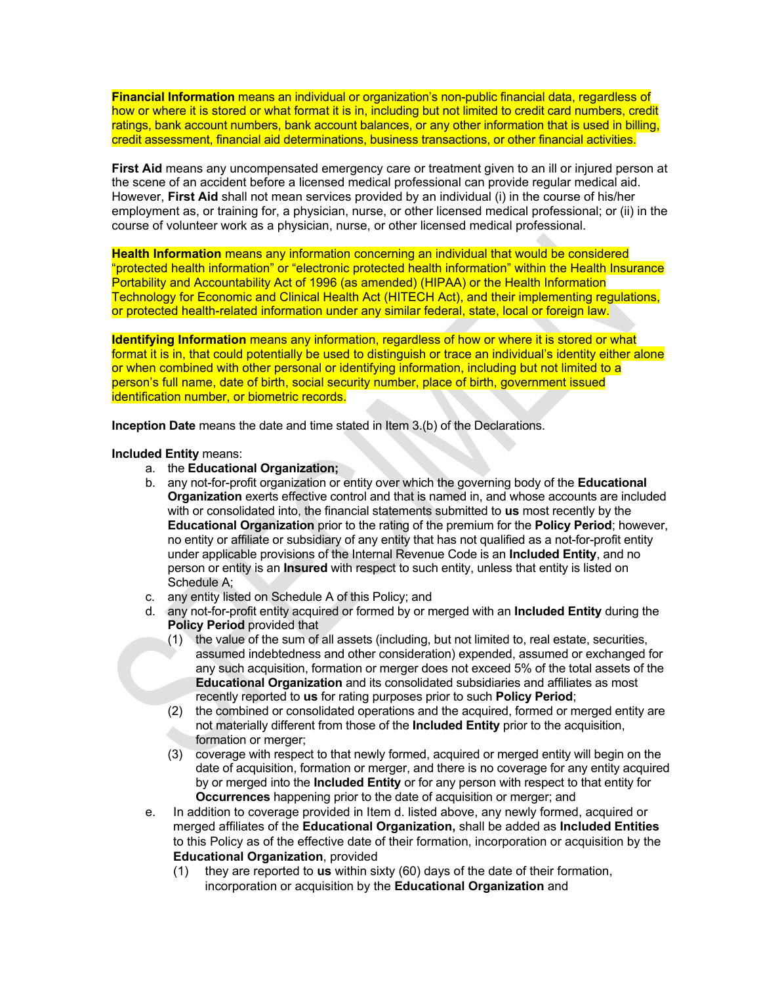**Financial Information** means an individual or organization's non-public financial data, regardless of how or where it is stored or what format it is in, including but not limited to credit card numbers, credit ratings, bank account numbers, bank account balances, or any other information that is used in billing, credit assessment, financial aid determinations, business transactions, or other financial activities.

**First Aid** means any uncompensated emergency care or treatment given to an ill or injured person at the scene of an accident before a licensed medical professional can provide regular medical aid. However, **First Aid** shall not mean services provided by an individual (i) in the course of his/her employment as, or training for, a physician, nurse, or other licensed medical professional; or (ii) in the course of volunteer work as a physician, nurse, or other licensed medical professional.

**Health Information** means any information concerning an individual that would be considered "protected health information" or "electronic protected health information" within the Health Insurance Portability and Accountability Act of 1996 (as amended) (HIPAA) or the Health Information Technology for Economic and Clinical Health Act (HITECH Act), and their implementing regulations, or protected health-related information under any similar federal, state, local or foreign law.

**Identifying Information** means any information, regardless of how or where it is stored or what format it is in, that could potentially be used to distinguish or trace an individual's identity either alone or when combined with other personal or identifying information, including but not limited to a person's full name, date of birth, social security number, place of birth, government issued identification number, or biometric records.

**Inception Date** means the date and time stated in Item 3.(b) of the Declarations.

**Included Entity** means:

- a. the **Educational Organization;**
- b. any not-for-profit organization or entity over which the governing body of the **Educational Organization** exerts effective control and that is named in, and whose accounts are included with or consolidated into, the financial statements submitted to **us** most recently by the **Educational Organization** prior to the rating of the premium for the **Policy Period**; however, no entity or affiliate or subsidiary of any entity that has not qualified as a not-for-profit entity under applicable provisions of the Internal Revenue Code is an **Included Entity**, and no person or entity is an **Insured** with respect to such entity, unless that entity is listed on Schedule A;
- c. any entity listed on Schedule A of this Policy; and
- d. any not-for-profit entity acquired or formed by or merged with an **Included Entity** during the **Policy Period** provided that
	- (1) the value of the sum of all assets (including, but not limited to, real estate, securities, assumed indebtedness and other consideration) expended, assumed or exchanged for any such acquisition, formation or merger does not exceed 5% of the total assets of the **Educational Organization** and its consolidated subsidiaries and affiliates as most recently reported to **us** for rating purposes prior to such **Policy Period**;
	- (2) the combined or consolidated operations and the acquired, formed or merged entity are not materially different from those of the **Included Entity** prior to the acquisition, formation or merger;
	- (3) coverage with respect to that newly formed, acquired or merged entity will begin on the date of acquisition, formation or merger, and there is no coverage for any entity acquired by or merged into the **Included Entity** or for any person with respect to that entity for **Occurrences** happening prior to the date of acquisition or merger; and
- e. In addition to coverage provided in Item d. listed above, any newly formed, acquired or merged affiliates of the **Educational Organization,** shall be added as **Included Entities** to this Policy as of the effective date of their formation, incorporation or acquisition by the **Educational Organization**, provided
	- (1) they are reported to **us** within sixty (60) days of the date of their formation, incorporation or acquisition by the **Educational Organization** and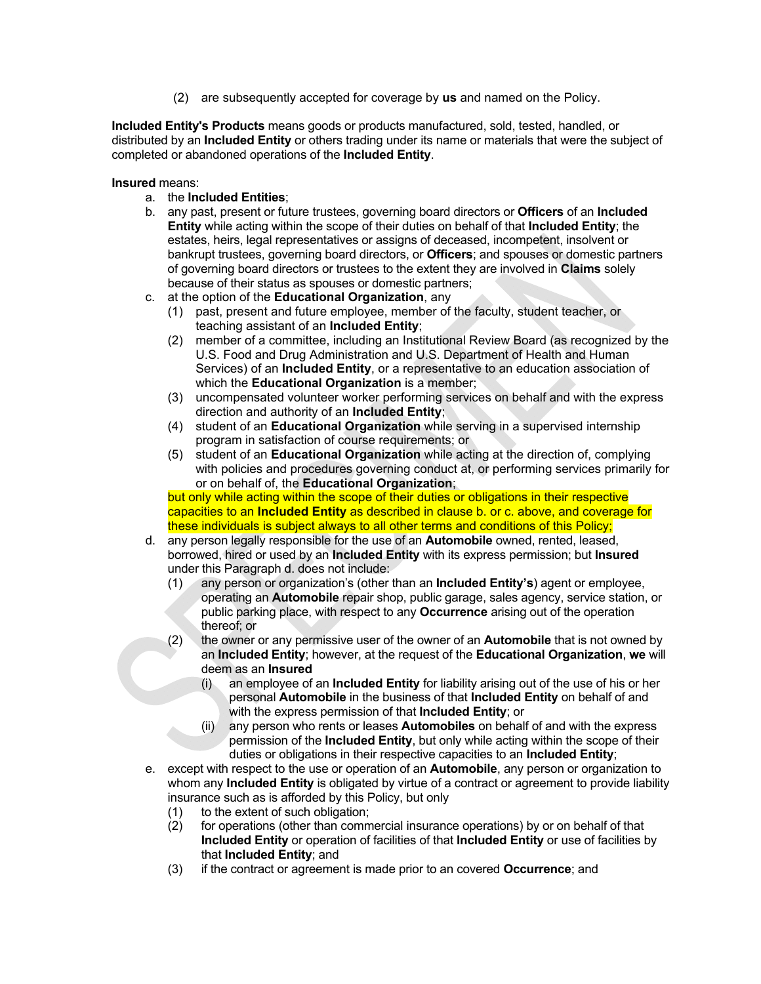(2) are subsequently accepted for coverage by **us** and named on the Policy.

**Included Entity's Products** means goods or products manufactured, sold, tested, handled, or distributed by an **Included Entity** or others trading under its name or materials that were the subject of completed or abandoned operations of the **Included Entity**.

**Insured** means:

- a. the **Included Entities**;
- b. any past, present or future trustees, governing board directors or **Officers** of an **Included Entity** while acting within the scope of their duties on behalf of that **Included Entity**; the estates, heirs, legal representatives or assigns of deceased, incompetent, insolvent or bankrupt trustees, governing board directors, or **Officers**; and spouses or domestic partners of governing board directors or trustees to the extent they are involved in **Claims** solely because of their status as spouses or domestic partners;
- c. at the option of the **Educational Organization**, any
	- (1) past, present and future employee, member of the faculty, student teacher, or teaching assistant of an **Included Entity**;
	- (2) member of a committee, including an Institutional Review Board (as recognized by the U.S. Food and Drug Administration and U.S. Department of Health and Human Services) of an **Included Entity**, or a representative to an education association of which the **Educational Organization** is a member;
	- (3) uncompensated volunteer worker performing services on behalf and with the express direction and authority of an **Included Entity**;
	- (4) student of an **Educational Organization** while serving in a supervised internship program in satisfaction of course requirements; or
	- (5) student of an **Educational Organization** while acting at the direction of, complying with policies and procedures governing conduct at, or performing services primarily for or on behalf of, the **Educational Organization**;

but only while acting within the scope of their duties or obligations in their respective capacities to an **Included Entity** as described in clause b. or c. above, and coverage for these individuals is subject always to all other terms and conditions of this Policy;

- d. any person legally responsible for the use of an **Automobile** owned, rented, leased, borrowed, hired or used by an **Included Entity** with its express permission; but **Insured** under this Paragraph d. does not include:
	- (1) any person or organization's (other than an **Included Entity's**) agent or employee, operating an **Automobile** repair shop, public garage, sales agency, service station, or public parking place, with respect to any **Occurrence** arising out of the operation thereof; or
	- (2) the owner or any permissive user of the owner of an **Automobile** that is not owned by an **Included Entity**; however, at the request of the **Educational Organization**, **we** will deem as an **Insured**
		- (i) an employee of an **Included Entity** for liability arising out of the use of his or her personal **Automobile** in the business of that **Included Entity** on behalf of and with the express permission of that **Included Entity**; or
		- (ii) any person who rents or leases **Automobiles** on behalf of and with the express permission of the **Included Entity**, but only while acting within the scope of their duties or obligations in their respective capacities to an **Included Entity**;
- e. except with respect to the use or operation of an **Automobile**, any person or organization to whom any **Included Entity** is obligated by virtue of a contract or agreement to provide liability insurance such as is afforded by this Policy, but only
	- (1) to the extent of such obligation;
	- (2) for operations (other than commercial insurance operations) by or on behalf of that **Included Entity** or operation of facilities of that **Included Entity** or use of facilities by that **Included Entity**; and
	- (3) if the contract or agreement is made prior to an covered **Occurrence**; and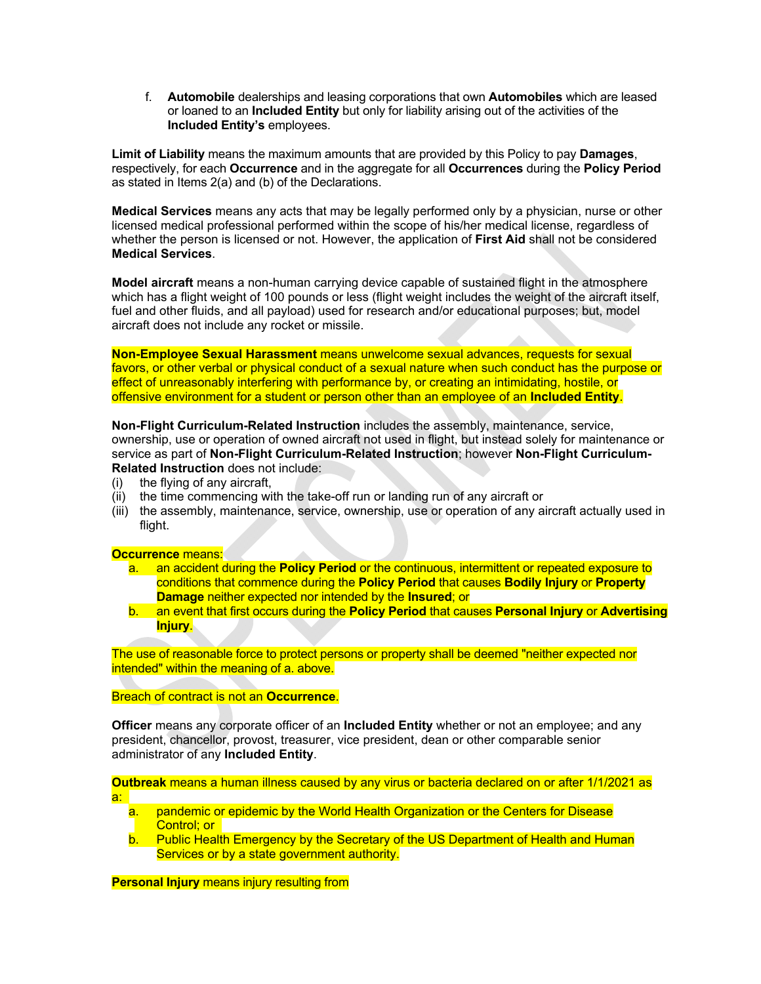f. **Automobile** dealerships and leasing corporations that own **Automobiles** which are leased or loaned to an **Included Entity** but only for liability arising out of the activities of the **Included Entity's** employees.

**Limit of Liability** means the maximum amounts that are provided by this Policy to pay **Damages**, respectively, for each **Occurrence** and in the aggregate for all **Occurrences** during the **Policy Period** as stated in Items 2(a) and (b) of the Declarations.

**Medical Services** means any acts that may be legally performed only by a physician, nurse or other licensed medical professional performed within the scope of his/her medical license, regardless of whether the person is licensed or not. However, the application of **First Aid** shall not be considered **Medical Services**.

**Model aircraft** means a non-human carrying device capable of sustained flight in the atmosphere which has a flight weight of 100 pounds or less (flight weight includes the weight of the aircraft itself, fuel and other fluids, and all payload) used for research and/or educational purposes; but, model aircraft does not include any rocket or missile.

**Non-Employee Sexual Harassment** means unwelcome sexual advances, requests for sexual favors, or other verbal or physical conduct of a sexual nature when such conduct has the purpose or effect of unreasonably interfering with performance by, or creating an intimidating, hostile, or offensive environment for a student or person other than an employee of an **Included Entity**.

**Non-Flight Curriculum-Related Instruction** includes the assembly, maintenance, service, ownership, use or operation of owned aircraft not used in flight, but instead solely for maintenance or service as part of **Non-Flight Curriculum-Related Instruction**; however **Non-Flight Curriculum-Related Instruction** does not include:

- (i) the flying of any aircraft,
- (ii) the time commencing with the take-off run or landing run of any aircraft or
- (iii) the assembly, maintenance, service, ownership, use or operation of any aircraft actually used in flight.

### **Occurrence** means:

- a. an accident during the **Policy Period** or the continuous, intermittent or repeated exposure to conditions that commence during the **Policy Period** that causes **Bodily Injury** or **Property Damage** neither expected nor intended by the **Insured**; or
- b. an event that first occurs during the **Policy Period** that causes **Personal Injury** or **Advertising Injury**.

The use of reasonable force to protect persons or property shall be deemed "neither expected nor intended" within the meaning of a. above.

Breach of contract is not an **Occurrence**.

**Officer** means any corporate officer of an **Included Entity** whether or not an employee; and any president, chancellor, provost, treasurer, vice president, dean or other comparable senior administrator of any **Included Entity**.

**Outbreak** means a human illness caused by any virus or bacteria declared on or after 1/1/2021 as a:

- a. pandemic or epidemic by the World Health Organization or the Centers for Disease Control; or
- b. Public Health Emergency by the Secretary of the US Department of Health and Human Services or by a state government authority.

**Personal Injury** means injury resulting from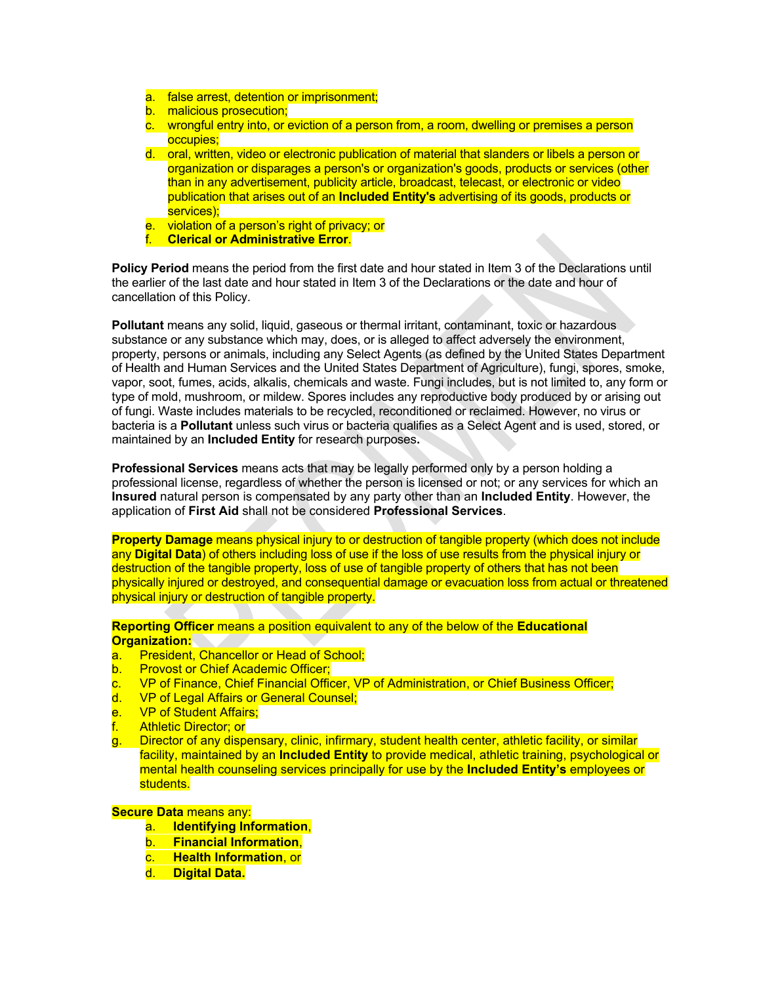- a. false arrest, detention or imprisonment;
- b. malicious prosecution;
- c. wrongful entry into, or eviction of a person from, a room, dwelling or premises a person occupies;
- d. oral, written, video or electronic publication of material that slanders or libels a person or organization or disparages a person's or organization's goods, products or services (other than in any advertisement, publicity article, broadcast, telecast, or electronic or video publication that arises out of an **Included Entity's** advertising of its goods, products or services);
- e. violation of a person's right of privacy; or
- f. **Clerical or Administrative Error**.

**Policy Period** means the period from the first date and hour stated in Item 3 of the Declarations until the earlier of the last date and hour stated in Item 3 of the Declarations or the date and hour of cancellation of this Policy.

**Pollutant** means any solid, liquid, gaseous or thermal irritant, contaminant, toxic or hazardous substance or any substance which may, does, or is alleged to affect adversely the environment, property, persons or animals, including any Select Agents (as defined by the United States Department of Health and Human Services and the United States Department of Agriculture), fungi, spores, smoke, vapor, soot, fumes, acids, alkalis, chemicals and waste. Fungi includes, but is not limited to, any form or type of mold, mushroom, or mildew. Spores includes any reproductive body produced by or arising out of fungi. Waste includes materials to be recycled, reconditioned or reclaimed. However, no virus or bacteria is a **Pollutant** unless such virus or bacteria qualifies as a Select Agent and is used, stored, or maintained by an **Included Entity** for research purposes**.**

**Professional Services** means acts that may be legally performed only by a person holding a professional license, regardless of whether the person is licensed or not; or any services for which an **Insured** natural person is compensated by any party other than an **Included Entity**. However, the application of **First Aid** shall not be considered **Professional Services**.

**Property Damage** means physical injury to or destruction of tangible property (which does not include any **Digital Data**) of others including loss of use if the loss of use results from the physical injury or destruction of the tangible property, loss of use of tangible property of others that has not been physically injured or destroyed, and consequential damage or evacuation loss from actual or threatened physical injury or destruction of tangible property.

**Reporting Officer** means a position equivalent to any of the below of the **Educational Organization:** 

- a. President, Chancellor or Head of School;
- b. Provost or Chief Academic Officer;
- c. VP of Finance, Chief Financial Officer, VP of Administration, or Chief Business Officer;
- d. VP of Legal Affairs or General Counsel;
- e. VP of Student Affairs;
- f. Athletic Director; or
- g. Director of any dispensary, clinic, infirmary, student health center, athletic facility, or similar facility, maintained by an **Included Entity** to provide medical, athletic training, psychological or mental health counseling services principally for use by the **Included Entity's** employees or students.

#### **Secure Data** means any:

- a. **Identifying Information**,
- b. **Financial Information**,
- c. **Health Information**, or
- d. **Digital Data.**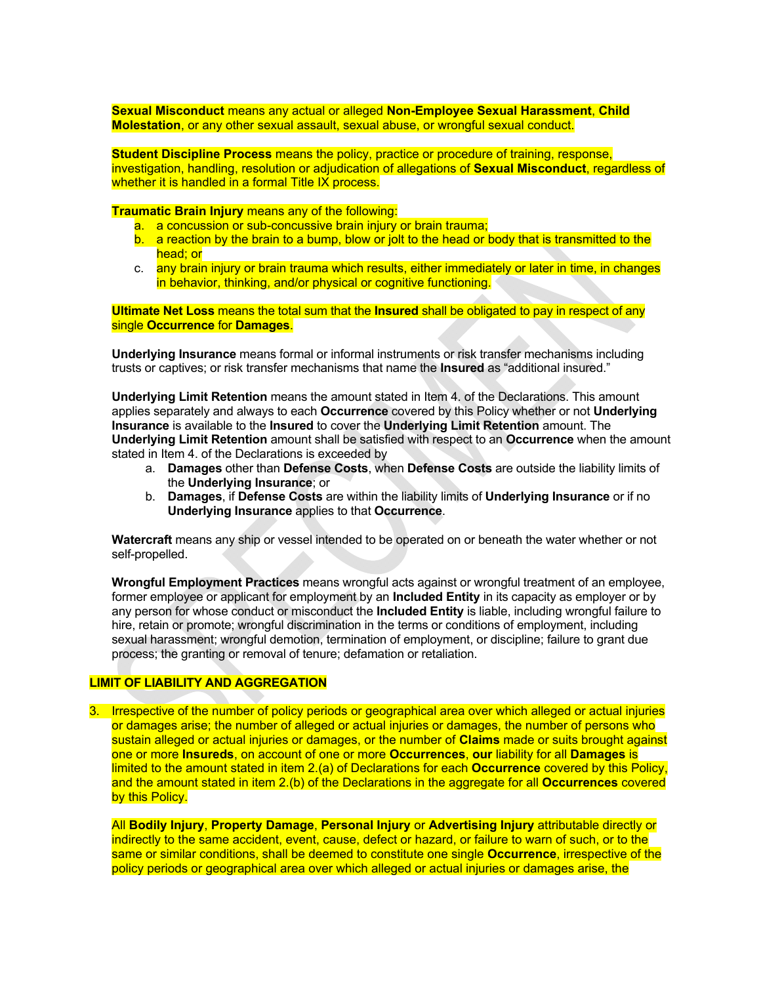**Sexual Misconduct** means any actual or alleged **Non-Employee Sexual Harassment**, **Child Molestation**, or any other sexual assault, sexual abuse, or wrongful sexual conduct.

**Student Discipline Process** means the policy, practice or procedure of training, response, investigation, handling, resolution or adjudication of allegations of **Sexual Misconduct**, regardless of whether it is handled in a formal Title IX process.

**Traumatic Brain Injury** means any of the following:

- a. a concussion or sub-concussive brain injury or brain trauma;
- b. a reaction by the brain to a bump, blow or jolt to the head or body that is transmitted to the head; or
- c. any brain injury or brain trauma which results, either immediately or later in time, in changes in behavior, thinking, and/or physical or cognitive functioning.

**Ultimate Net Loss** means the total sum that the **Insured** shall be obligated to pay in respect of any single **Occurrence** for **Damages**.

**Underlying Insurance** means formal or informal instruments or risk transfer mechanisms including trusts or captives; or risk transfer mechanisms that name the **Insured** as "additional insured."

**Underlying Limit Retention** means the amount stated in Item 4. of the Declarations. This amount applies separately and always to each **Occurrence** covered by this Policy whether or not **Underlying Insurance** is available to the **Insured** to cover the **Underlying Limit Retention** amount. The **Underlying Limit Retention** amount shall be satisfied with respect to an **Occurrence** when the amount stated in Item 4. of the Declarations is exceeded by

- a. **Damages** other than **Defense Costs**, when **Defense Costs** are outside the liability limits of the **Underlying Insurance**; or
- b. **Damages**, if **Defense Costs** are within the liability limits of **Underlying Insurance** or if no **Underlying Insurance** applies to that **Occurrence**.

**Watercraft** means any ship or vessel intended to be operated on or beneath the water whether or not self-propelled.

**Wrongful Employment Practices** means wrongful acts against or wrongful treatment of an employee, former employee or applicant for employment by an **Included Entity** in its capacity as employer or by any person for whose conduct or misconduct the **Included Entity** is liable, including wrongful failure to hire, retain or promote; wrongful discrimination in the terms or conditions of employment, including sexual harassment; wrongful demotion, termination of employment, or discipline; failure to grant due process; the granting or removal of tenure; defamation or retaliation.

### **LIMIT OF LIABILITY AND AGGREGATION**

3. Irrespective of the number of policy periods or geographical area over which alleged or actual injuries or damages arise; the number of alleged or actual injuries or damages, the number of persons who sustain alleged or actual injuries or damages, or the number of **Claims** made or suits brought against one or more **Insureds**, on account of one or more **Occurrences**, **our** liability for all **Damages** is limited to the amount stated in item 2.(a) of Declarations for each **Occurrence** covered by this Policy, and the amount stated in item 2.(b) of the Declarations in the aggregate for all **Occurrences** covered by this Policy.

All **Bodily Injury**, **Property Damage**, **Personal Injury** or **Advertising Injury** attributable directly or indirectly to the same accident, event, cause, defect or hazard, or failure to warn of such, or to the same or similar conditions, shall be deemed to constitute one single **Occurrence**, irrespective of the policy periods or geographical area over which alleged or actual injuries or damages arise, the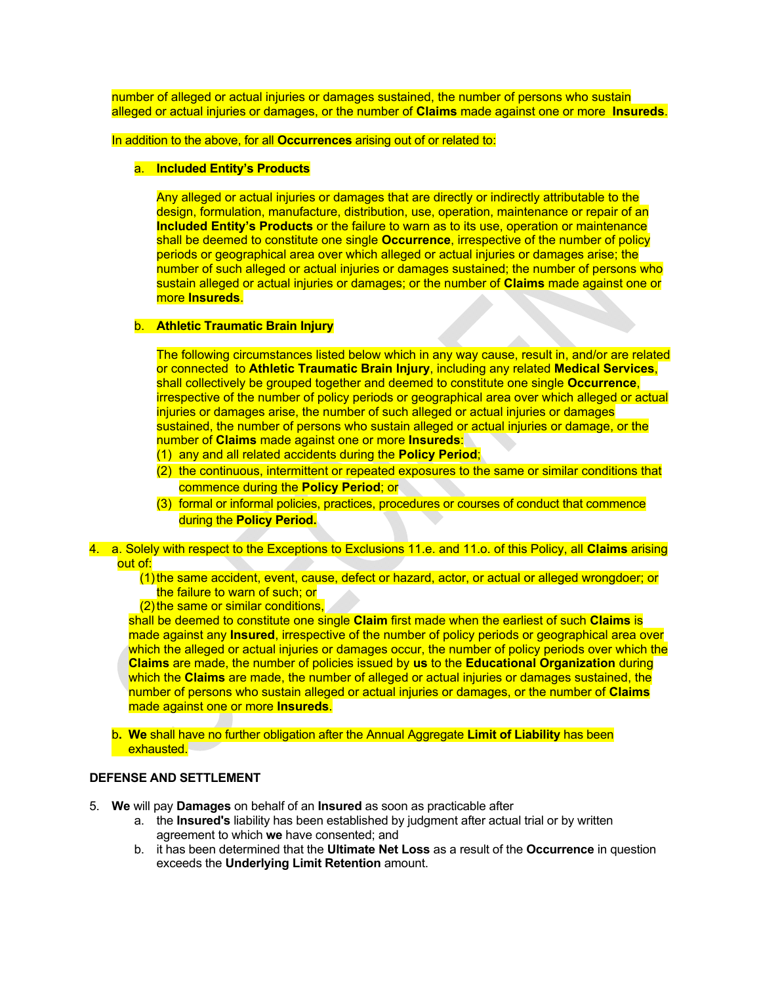number of alleged or actual injuries or damages sustained, the number of persons who sustain alleged or actual injuries or damages, or the number of **Claims** made against one or more **Insureds**.

In addition to the above, for all **Occurrences** arising out of or related to:

#### a. **Included Entity's Products**

Any alleged or actual injuries or damages that are directly or indirectly attributable to the design, formulation, manufacture, distribution, use, operation, maintenance or repair of an **Included Entity's Products** or the failure to warn as to its use, operation or maintenance shall be deemed to constitute one single **Occurrence**, irrespective of the number of policy periods or geographical area over which alleged or actual injuries or damages arise; the number of such alleged or actual injuries or damages sustained; the number of persons who sustain alleged or actual injuries or damages; or the number of **Claims** made against one or more **Insureds**.

#### b. **Athletic Traumatic Brain Injury**

The following circumstances listed below which in any way cause, result in, and/or are related or connected to **Athletic Traumatic Brain Injury**, including any related **Medical Services**, shall collectively be grouped together and deemed to constitute one single **Occurrence**, irrespective of the number of policy periods or geographical area over which alleged or actual injuries or damages arise, the number of such alleged or actual injuries or damages sustained, the number of persons who sustain alleged or actual injuries or damage, or the number of **Claims** made against one or more **Insureds**:

- (1) any and all related accidents during the **Policy Period**;
- (2) the continuous, intermittent or repeated exposures to the same or similar conditions that commence during the **Policy Period**; or
- (3) formal or informal policies, practices, procedures or courses of conduct that commence during the **Policy Period.**
- 4. a. Solely with respect to the Exceptions to Exclusions 11.e. and 11.o. of this Policy, all **Claims** arising out of:
	- (1) the same accident, event, cause, defect or hazard, actor, or actual or alleged wrongdoer; or the failure to warn of such; or
	- (2) the same or similar conditions,

shall be deemed to constitute one single **Claim** first made when the earliest of such **Claims** is made against any **Insured**, irrespective of the number of policy periods or geographical area over which the alleged or actual injuries or damages occur, the number of policy periods over which the **Claims** are made, the number of policies issued by **us** to the **Educational Organization** during which the **Claims** are made, the number of alleged or actual injuries or damages sustained, the number of persons who sustain alleged or actual injuries or damages, or the number of **Claims** made against one or more **Insureds**.

b**. We** shall have no further obligation after the Annual Aggregate **Limit of Liability** has been exhausted.

#### **DEFENSE AND SETTLEMENT**

- 5. **We** will pay **Damages** on behalf of an **Insured** as soon as practicable after
	- a. the **Insured's** liability has been established by judgment after actual trial or by written agreement to which **we** have consented; and
	- b. it has been determined that the **Ultimate Net Loss** as a result of the **Occurrence** in question exceeds the **Underlying Limit Retention** amount.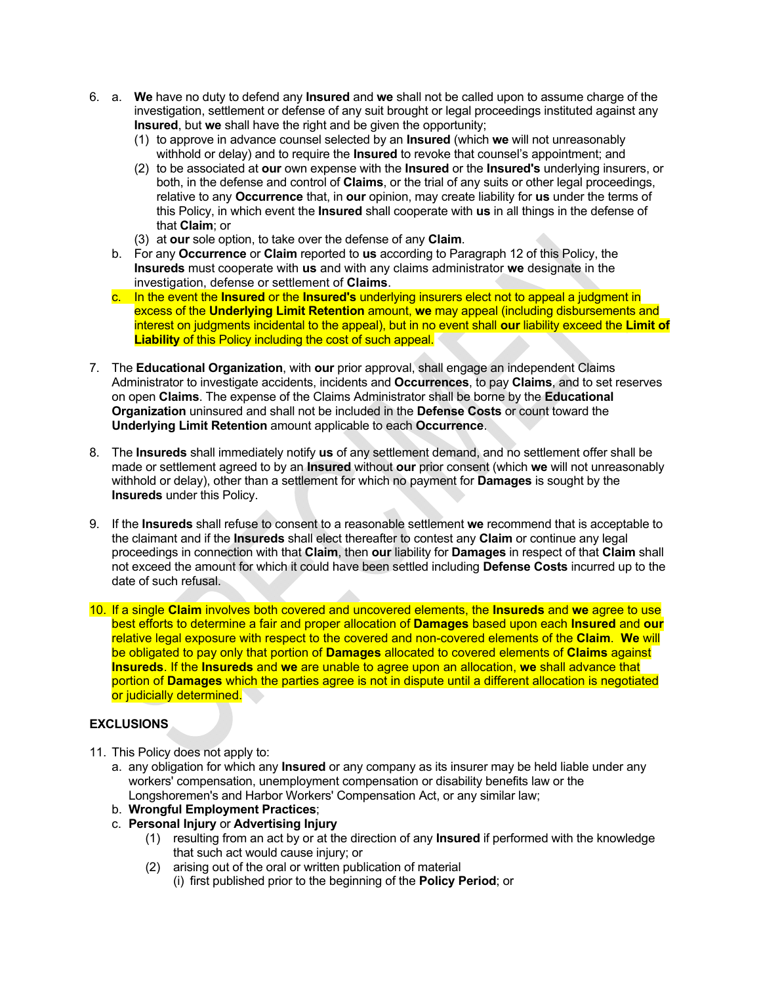- 6. a. **We** have no duty to defend any **Insured** and **we** shall not be called upon to assume charge of the investigation, settlement or defense of any suit brought or legal proceedings instituted against any **Insured**, but **we** shall have the right and be given the opportunity;
	- (1) to approve in advance counsel selected by an **Insured** (which **we** will not unreasonably withhold or delay) and to require the **Insured** to revoke that counsel's appointment; and
	- (2) to be associated at **our** own expense with the **Insured** or the **Insured's** underlying insurers, or both, in the defense and control of **Claims**, or the trial of any suits or other legal proceedings, relative to any **Occurrence** that, in **our** opinion, may create liability for **us** under the terms of this Policy, in which event the **Insured** shall cooperate with **us** in all things in the defense of that **Claim**; or
	- (3) at **our** sole option, to take over the defense of any **Claim**.
	- b. For any **Occurrence** or **Claim** reported to **us** according to Paragraph 12 of this Policy, the **Insureds** must cooperate with **us** and with any claims administrator **we** designate in the investigation, defense or settlement of **Claims**.
	- c. In the event the **Insured** or the **Insured's** underlying insurers elect not to appeal a judgment in excess of the **Underlying Limit Retention** amount, **we** may appeal (including disbursements and interest on judgments incidental to the appeal), but in no event shall **our** liability exceed the **Limit of Liability** of this Policy including the cost of such appeal.
- 7. The **Educational Organization**, with **our** prior approval, shall engage an independent Claims Administrator to investigate accidents, incidents and **Occurrences**, to pay **Claims**, and to set reserves on open **Claims**. The expense of the Claims Administrator shall be borne by the **Educational Organization** uninsured and shall not be included in the **Defense Costs** or count toward the **Underlying Limit Retention** amount applicable to each **Occurrence**.
- 8. The **Insureds** shall immediately notify **us** of any settlement demand, and no settlement offer shall be made or settlement agreed to by an **Insured** without **our** prior consent (which **we** will not unreasonably withhold or delay), other than a settlement for which no payment for **Damages** is sought by the **Insureds** under this Policy.
- 9. If the **Insureds** shall refuse to consent to a reasonable settlement **we** recommend that is acceptable to the claimant and if the **Insureds** shall elect thereafter to contest any **Claim** or continue any legal proceedings in connection with that **Claim**, then **our** liability for **Damages** in respect of that **Claim** shall not exceed the amount for which it could have been settled including **Defense Costs** incurred up to the date of such refusal.
- 10. If a single **Claim** involves both covered and uncovered elements, the **Insureds** and **we** agree to use best efforts to determine a fair and proper allocation of **Damages** based upon each **Insured** and **our**  relative legal exposure with respect to the covered and non-covered elements of the **Claim**. **We** will be obligated to pay only that portion of **Damages** allocated to covered elements of **Claims** against **Insureds**. If the **Insureds** and **we** are unable to agree upon an allocation, **we** shall advance that portion of **Damages** which the parties agree is not in dispute until a different allocation is negotiated or judicially determined.

# **EXCLUSIONS**

- 11. This Policy does not apply to:
	- a. any obligation for which any **Insured** or any company as its insurer may be held liable under any workers' compensation, unemployment compensation or disability benefits law or the Longshoremen's and Harbor Workers' Compensation Act, or any similar law;
	- b. **Wrongful Employment Practices**;
	- c. **Personal Injury** or **Advertising Injury**
		- (1) resulting from an act by or at the direction of any **Insured** if performed with the knowledge that such act would cause injury; or
		- (2) arising out of the oral or written publication of material
			- (i) first published prior to the beginning of the **Policy Period**; or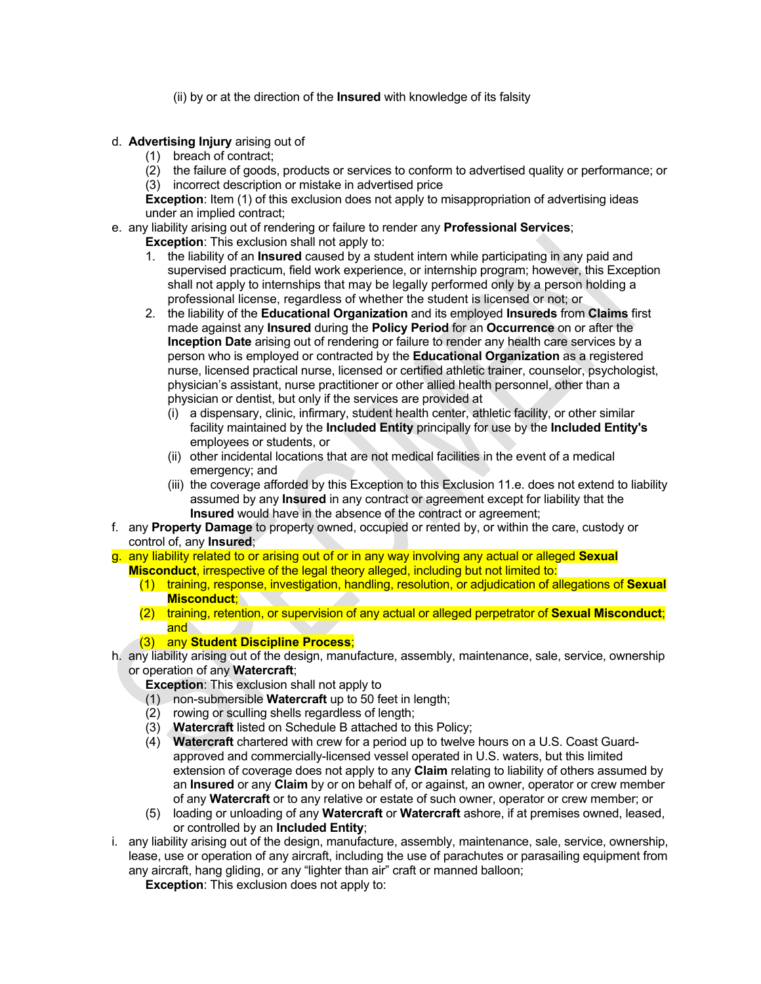- (ii) by or at the direction of the **Insured** with knowledge of its falsity
- d. **Advertising Injury** arising out of
	- (1) breach of contract;
	- (2) the failure of goods, products or services to conform to advertised quality or performance; or (3) incorrect description or mistake in advertised price

**Exception**: Item (1) of this exclusion does not apply to misappropriation of advertising ideas under an implied contract;

- e. any liability arising out of rendering or failure to render any **Professional Services**;
	- **Exception**: This exclusion shall not apply to:
	- 1. the liability of an **Insured** caused by a student intern while participating in any paid and supervised practicum, field work experience, or internship program; however, this Exception shall not apply to internships that may be legally performed only by a person holding a professional license, regardless of whether the student is licensed or not; or
	- 2. the liability of the **Educational Organization** and its employed **Insureds** from **Claims** first made against any **Insured** during the **Policy Period** for an **Occurrence** on or after the **Inception Date** arising out of rendering or failure to render any health care services by a person who is employed or contracted by the **Educational Organization** as a registered nurse, licensed practical nurse, licensed or certified athletic trainer, counselor, psychologist, physician's assistant, nurse practitioner or other allied health personnel, other than a physician or dentist, but only if the services are provided at
		- (i) a dispensary, clinic, infirmary, student health center, athletic facility, or other similar facility maintained by the **Included Entity** principally for use by the **Included Entity's** employees or students, or
		- (ii) other incidental locations that are not medical facilities in the event of a medical emergency; and
		- (iii) the coverage afforded by this Exception to this Exclusion 11.e. does not extend to liability assumed by any **Insured** in any contract or agreement except for liability that the **Insured** would have in the absence of the contract or agreement;
- f. any **Property Damage** to property owned, occupied or rented by, or within the care, custody or control of, any **Insured**;
- g. any liability related to or arising out of or in any way involving any actual or alleged **Sexual Misconduct**, irrespective of the legal theory alleged, including but not limited to:
	- (1) training, response, investigation, handling, resolution, or adjudication of allegations of **Sexual Misconduct**;
	- (2) training, retention, or supervision of any actual or alleged perpetrator of **Sexual Misconduct**; and

## (3) any **Student Discipline Process**;

h. any liability arising out of the design, manufacture, assembly, maintenance, sale, service, ownership or operation of any **Watercraft**;

**Exception**: This exclusion shall not apply to

- (1) non-submersible **Watercraft** up to 50 feet in length;
- (2) rowing or sculling shells regardless of length;
- (3) **Watercraft** listed on Schedule B attached to this Policy;
- (4) **Watercraft** chartered with crew for a period up to twelve hours on a U.S. Coast Guardapproved and commercially-licensed vessel operated in U.S. waters, but this limited extension of coverage does not apply to any **Claim** relating to liability of others assumed by an **Insured** or any **Claim** by or on behalf of, or against, an owner, operator or crew member of any **Watercraft** or to any relative or estate of such owner, operator or crew member; or
- (5) loading or unloading of any **Watercraft** or **Watercraft** ashore, if at premises owned, leased, or controlled by an **Included Entity**;
- i. any liability arising out of the design, manufacture, assembly, maintenance, sale, service, ownership, lease, use or operation of any aircraft, including the use of parachutes or parasailing equipment from any aircraft, hang gliding, or any "lighter than air" craft or manned balloon;

**Exception**: This exclusion does not apply to: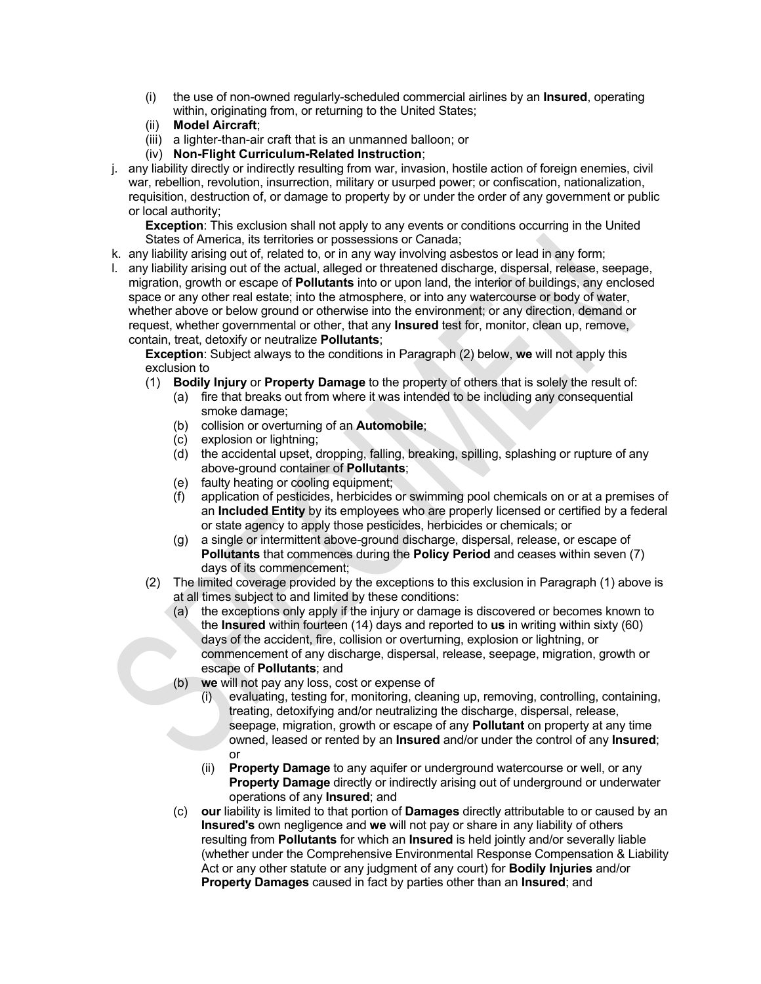- (i) the use of non-owned regularly-scheduled commercial airlines by an **Insured**, operating within, originating from, or returning to the United States;
- (ii) **Model Aircraft**;
- (iii) a lighter-than-air craft that is an unmanned balloon; or
- (iv) **Non-Flight Curriculum-Related Instruction**;
- j. any liability directly or indirectly resulting from war, invasion, hostile action of foreign enemies, civil war, rebellion, revolution, insurrection, military or usurped power; or confiscation, nationalization, requisition, destruction of, or damage to property by or under the order of any government or public or local authority;

**Exception**: This exclusion shall not apply to any events or conditions occurring in the United States of America, its territories or possessions or Canada;

- k. any liability arising out of, related to, or in any way involving asbestos or lead in any form;
- l. any liability arising out of the actual, alleged or threatened discharge, dispersal, release, seepage, migration, growth or escape of **Pollutants** into or upon land, the interior of buildings, any enclosed space or any other real estate; into the atmosphere, or into any watercourse or body of water, whether above or below ground or otherwise into the environment; or any direction, demand or request, whether governmental or other, that any **Insured** test for, monitor, clean up, remove, contain, treat, detoxify or neutralize **Pollutants**;

**Exception**: Subject always to the conditions in Paragraph (2) below, **we** will not apply this exclusion to

- (1) **Bodily Injury** or **Property Damage** to the property of others that is solely the result of:
	- (a) fire that breaks out from where it was intended to be including any consequential smoke damage;
	- (b) collision or overturning of an **Automobile**;
	- (c) explosion or lightning;
	- (d) the accidental upset, dropping, falling, breaking, spilling, splashing or rupture of any above-ground container of **Pollutants**;
	- (e) faulty heating or cooling equipment;
	- (f) application of pesticides, herbicides or swimming pool chemicals on or at a premises of an **Included Entity** by its employees who are properly licensed or certified by a federal or state agency to apply those pesticides, herbicides or chemicals; or
	- (g) a single or intermittent above-ground discharge, dispersal, release, or escape of **Pollutants** that commences during the **Policy Period** and ceases within seven (7) days of its commencement;
- (2) The limited coverage provided by the exceptions to this exclusion in Paragraph (1) above is at all times subject to and limited by these conditions:
	- (a) the exceptions only apply if the injury or damage is discovered or becomes known to the **Insured** within fourteen (14) days and reported to **us** in writing within sixty (60) days of the accident, fire, collision or overturning, explosion or lightning, or commencement of any discharge, dispersal, release, seepage, migration, growth or escape of **Pollutants**; and
	- (b) **we** will not pay any loss, cost or expense of
		- (i) evaluating, testing for, monitoring, cleaning up, removing, controlling, containing, treating, detoxifying and/or neutralizing the discharge, dispersal, release, seepage, migration, growth or escape of any **Pollutant** on property at any time owned, leased or rented by an **Insured** and/or under the control of any **Insured**; or
		- (ii) **Property Damage** to any aquifer or underground watercourse or well, or any **Property Damage** directly or indirectly arising out of underground or underwater operations of any **Insured**; and
	- (c) **our** liability is limited to that portion of **Damages** directly attributable to or caused by an **Insured's** own negligence and **we** will not pay or share in any liability of others resulting from **Pollutants** for which an **Insured** is held jointly and/or severally liable (whether under the Comprehensive Environmental Response Compensation & Liability Act or any other statute or any judgment of any court) for **Bodily Injuries** and/or **Property Damages** caused in fact by parties other than an **Insured**; and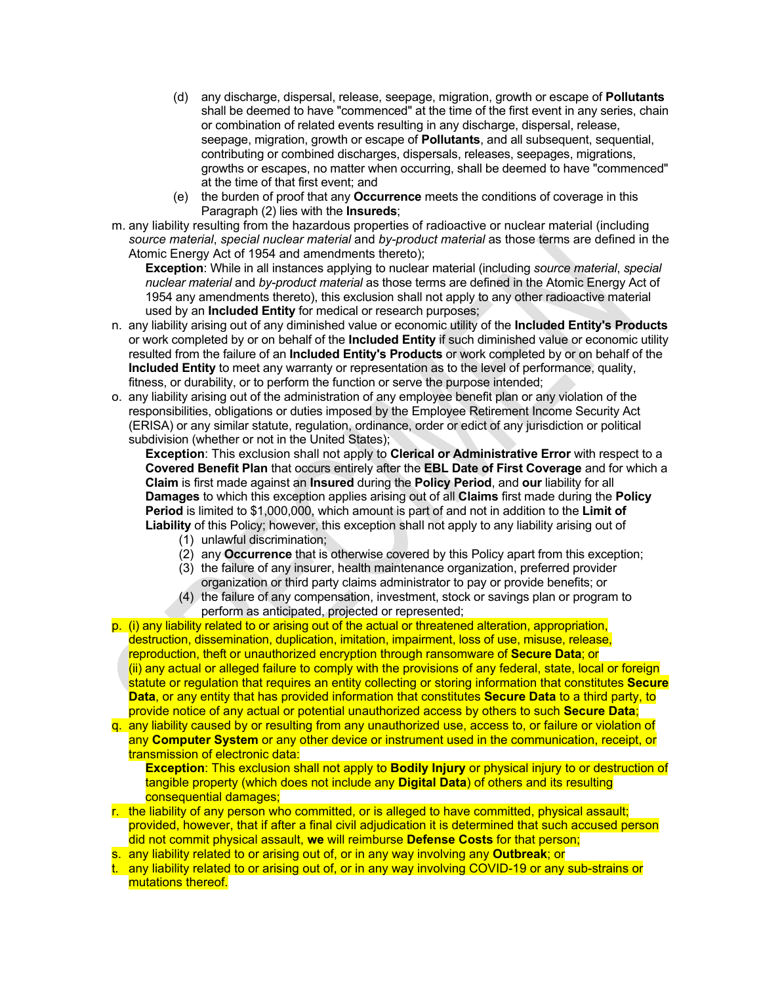- (d) any discharge, dispersal, release, seepage, migration, growth or escape of **Pollutants** shall be deemed to have "commenced" at the time of the first event in any series, chain or combination of related events resulting in any discharge, dispersal, release, seepage, migration, growth or escape of **Pollutants**, and all subsequent, sequential, contributing or combined discharges, dispersals, releases, seepages, migrations, growths or escapes, no matter when occurring, shall be deemed to have "commenced" at the time of that first event; and
- (e) the burden of proof that any **Occurrence** meets the conditions of coverage in this Paragraph (2) lies with the **Insureds**;
- m. any liability resulting from the hazardous properties of radioactive or nuclear material (including *source material*, *special nuclear material* and *by-product material* as those terms are defined in the Atomic Energy Act of 1954 and amendments thereto);

**Exception**: While in all instances applying to nuclear material (including *source material*, *special nuclear material* and *by-product material* as those terms are defined in the Atomic Energy Act of 1954 any amendments thereto), this exclusion shall not apply to any other radioactive material used by an **Included Entity** for medical or research purposes;

- n. any liability arising out of any diminished value or economic utility of the **Included Entity's Products** or work completed by or on behalf of the **Included Entity** if such diminished value or economic utility resulted from the failure of an **Included Entity's Products** or work completed by or on behalf of the **Included Entity** to meet any warranty or representation as to the level of performance, quality, fitness, or durability, or to perform the function or serve the purpose intended;
- o. any liability arising out of the administration of any employee benefit plan or any violation of the responsibilities, obligations or duties imposed by the Employee Retirement Income Security Act (ERISA) or any similar statute, regulation, ordinance, order or edict of any jurisdiction or political subdivision (whether or not in the United States);

**Exception**: This exclusion shall not apply to **Clerical or Administrative Error** with respect to a **Covered Benefit Plan** that occurs entirely after the **EBL Date of First Coverage** and for which a **Claim** is first made against an **Insured** during the **Policy Period**, and **our** liability for all **Damages** to which this exception applies arising out of all **Claims** first made during the **Policy Period** is limited to \$1,000,000, which amount is part of and not in addition to the **Limit of Liability** of this Policy; however, this exception shall not apply to any liability arising out of

- (1) unlawful discrimination;
- (2) any **Occurrence** that is otherwise covered by this Policy apart from this exception;
- (3) the failure of any insurer, health maintenance organization, preferred provider organization or third party claims administrator to pay or provide benefits; or
- (4) the failure of any compensation, investment, stock or savings plan or program to perform as anticipated, projected or represented;
- p. (i) any liability related to or arising out of the actual or threatened alteration, appropriation, destruction, dissemination, duplication, imitation, impairment, loss of use, misuse, release, reproduction, theft or unauthorized encryption through ransomware of **Secure Data**; or (ii) any actual or alleged failure to comply with the provisions of any federal, state, local or foreign statute or regulation that requires an entity collecting or storing information that constitutes **Secure Data**, or any entity that has provided information that constitutes **Secure Data** to a third party, to provide notice of any actual or potential unauthorized access by others to such **Secure Data**;
- q. any liability caused by or resulting from any unauthorized use, access to, or failure or violation of any **Computer System** or any other device or instrument used in the communication, receipt, or transmission of electronic data:

**Exception**: This exclusion shall not apply to **Bodily Injury** or physical injury to or destruction of tangible property (which does not include any **Digital Data**) of others and its resulting consequential damages;

- r. the liability of any person who committed, or is alleged to have committed, physical assault; provided, however, that if after a final civil adjudication it is determined that such accused person did not commit physical assault, **we** will reimburse **Defense Costs** for that person;
- s. any liability related to or arising out of, or in any way involving any **Outbreak**; or
- t. any liability related to or arising out of, or in any way involving COVID-19 or any sub-strains or mutations thereof.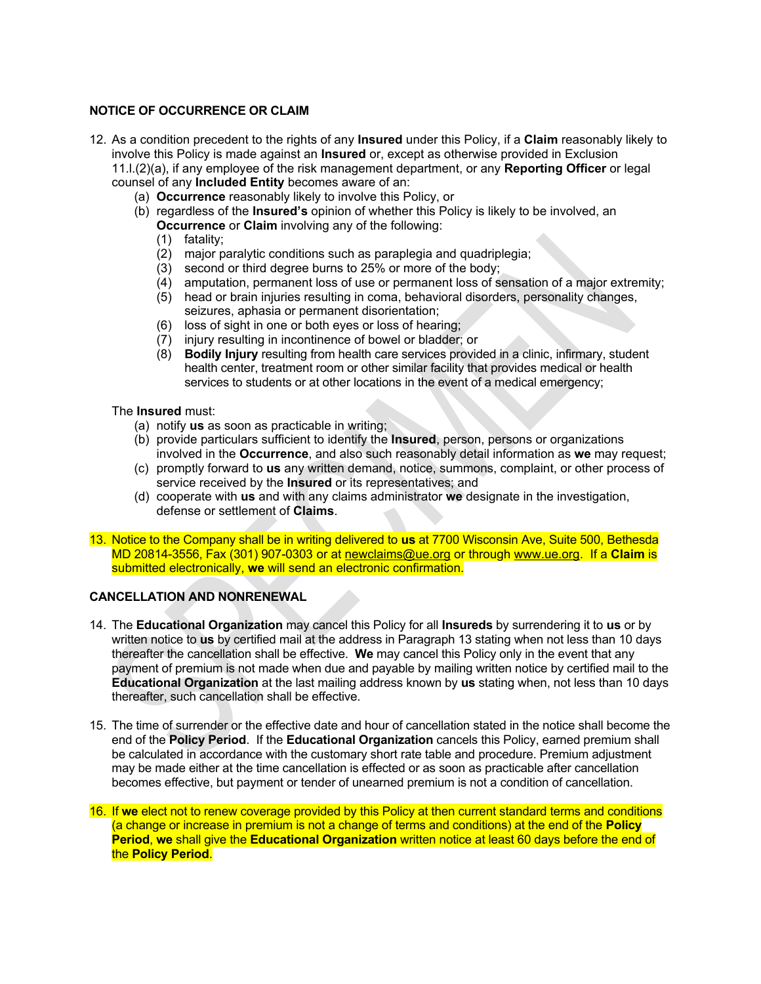## **NOTICE OF OCCURRENCE OR CLAIM**

- 12. As a condition precedent to the rights of any **Insured** under this Policy, if a **Claim** reasonably likely to involve this Policy is made against an **Insured** or, except as otherwise provided in Exclusion 11.l.(2)(a), if any employee of the risk management department, or any **Reporting Officer** or legal counsel of any **Included Entity** becomes aware of an:
	- (a) **Occurrence** reasonably likely to involve this Policy, or
	- (b) regardless of the **Insured's** opinion of whether this Policy is likely to be involved, an **Occurrence** or **Claim** involving any of the following:
		- (1) fatality;
		- (2) major paralytic conditions such as paraplegia and quadriplegia;
		- (3) second or third degree burns to 25% or more of the body;
		- (4) amputation, permanent loss of use or permanent loss of sensation of a major extremity;
		- (5) head or brain injuries resulting in coma, behavioral disorders, personality changes, seizures, aphasia or permanent disorientation;
		- (6) loss of sight in one or both eyes or loss of hearing;
		- (7) injury resulting in incontinence of bowel or bladder; or
		- (8) **Bodily Injury** resulting from health care services provided in a clinic, infirmary, student health center, treatment room or other similar facility that provides medical or health services to students or at other locations in the event of a medical emergency;

The **Insured** must:

- (a) notify **us** as soon as practicable in writing;
- (b) provide particulars sufficient to identify the **Insured**, person, persons or organizations involved in the **Occurrence**, and also such reasonably detail information as **we** may request;
- (c) promptly forward to **us** any written demand, notice, summons, complaint, or other process of service received by the **Insured** or its representatives; and
- (d) cooperate with **us** and with any claims administrator **we** designate in the investigation, defense or settlement of **Claims**.
- 13. Notice to the Company shall be in writing delivered to **us** at 7700 Wisconsin Ave, Suite 500, Bethesda MD 20814-3556, Fax (301) 907-0303 or at newclaims@ue.org or through www.ue.org. If a **Claim** is submitted electronically, **we** will send an electronic confirmation.

### **CANCELLATION AND NONRENEWAL**

- 14. The **Educational Organization** may cancel this Policy for all **Insureds** by surrendering it to **us** or by written notice to **us** by certified mail at the address in Paragraph 13 stating when not less than 10 days thereafter the cancellation shall be effective. **We** may cancel this Policy only in the event that any payment of premium is not made when due and payable by mailing written notice by certified mail to the **Educational Organization** at the last mailing address known by **us** stating when, not less than 10 days thereafter, such cancellation shall be effective.
- 15. The time of surrender or the effective date and hour of cancellation stated in the notice shall become the end of the **Policy Period**. If the **Educational Organization** cancels this Policy, earned premium shall be calculated in accordance with the customary short rate table and procedure. Premium adjustment may be made either at the time cancellation is effected or as soon as practicable after cancellation becomes effective, but payment or tender of unearned premium is not a condition of cancellation.
- 16. If **we** elect not to renew coverage provided by this Policy at then current standard terms and conditions (a change or increase in premium is not a change of terms and conditions) at the end of the **Policy Period**, **we** shall give the **Educational Organization** written notice at least 60 days before the end of the **Policy Period**.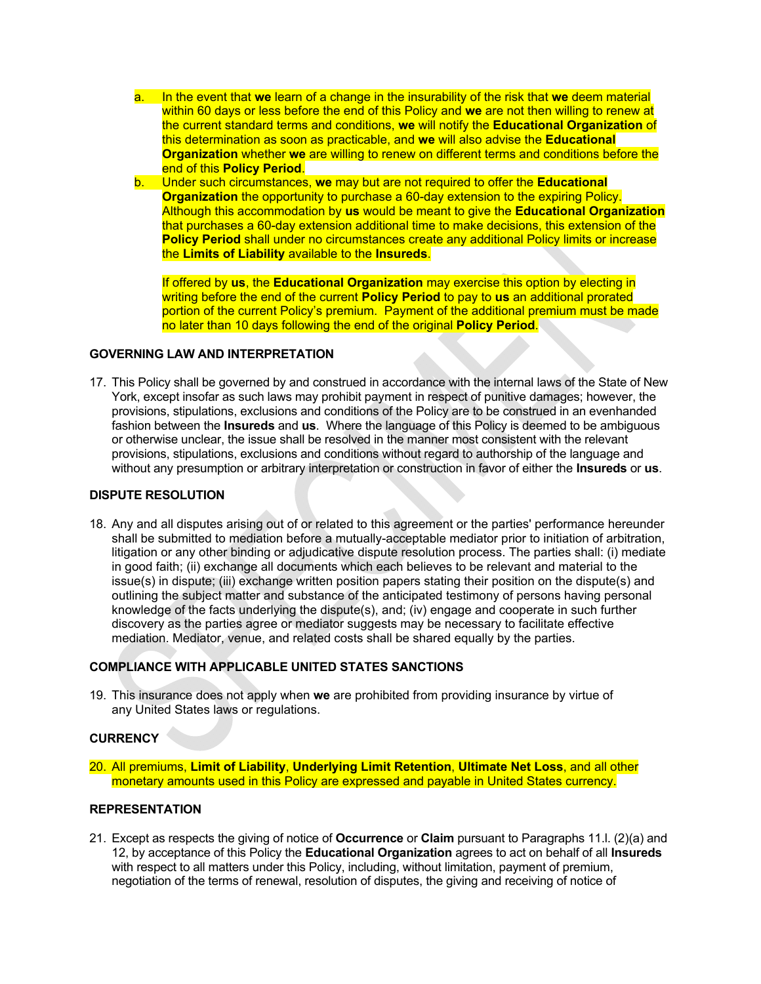- a. In the event that **we** learn of a change in the insurability of the risk that **we** deem material within 60 days or less before the end of this Policy and **we** are not then willing to renew at the current standard terms and conditions, **we** will notify the **Educational Organization** of this determination as soon as practicable, and **we** will also advise the **Educational Organization** whether **we** are willing to renew on different terms and conditions before the end of this **Policy Period**.
- b. Under such circumstances, **we** may but are not required to offer the **Educational Organization** the opportunity to purchase a 60-day extension to the expiring Policy. Although this accommodation by **us** would be meant to give the **Educational Organization** that purchases a 60-day extension additional time to make decisions, this extension of the **Policy Period** shall under no circumstances create any additional Policy limits or increase the **Limits of Liability** available to the **Insureds**.

If offered by **us**, the **Educational Organization** may exercise this option by electing in writing before the end of the current **Policy Period** to pay to **us** an additional prorated portion of the current Policy's premium. Payment of the additional premium must be made no later than 10 days following the end of the original **Policy Period**.

### **GOVERNING LAW AND INTERPRETATION**

17. This Policy shall be governed by and construed in accordance with the internal laws of the State of New York, except insofar as such laws may prohibit payment in respect of punitive damages; however, the provisions, stipulations, exclusions and conditions of the Policy are to be construed in an evenhanded fashion between the **Insureds** and **us**. Where the language of this Policy is deemed to be ambiguous or otherwise unclear, the issue shall be resolved in the manner most consistent with the relevant provisions, stipulations, exclusions and conditions without regard to authorship of the language and without any presumption or arbitrary interpretation or construction in favor of either the **Insureds** or **us**.

### **DISPUTE RESOLUTION**

18. Any and all disputes arising out of or related to this agreement or the parties' performance hereunder shall be submitted to mediation before a mutually-acceptable mediator prior to initiation of arbitration, litigation or any other binding or adjudicative dispute resolution process. The parties shall: (i) mediate in good faith; (ii) exchange all documents which each believes to be relevant and material to the issue(s) in dispute; (iii) exchange written position papers stating their position on the dispute(s) and outlining the subject matter and substance of the anticipated testimony of persons having personal knowledge of the facts underlying the dispute(s), and; (iv) engage and cooperate in such further discovery as the parties agree or mediator suggests may be necessary to facilitate effective mediation. Mediator, venue, and related costs shall be shared equally by the parties.

### **COMPLIANCE WITH APPLICABLE UNITED STATES SANCTIONS**

19. This insurance does not apply when **we** are prohibited from providing insurance by virtue of any United States laws or regulations.

## **CURRENCY**

20. All premiums, **Limit of Liability**, **Underlying Limit Retention**, **Ultimate Net Loss**, and all other monetary amounts used in this Policy are expressed and payable in United States currency.

#### **REPRESENTATION**

21. Except as respects the giving of notice of **Occurrence** or **Claim** pursuant to Paragraphs 11.l. (2)(a) and 12, by acceptance of this Policy the **Educational Organization** agrees to act on behalf of all **Insureds** with respect to all matters under this Policy, including, without limitation, payment of premium, negotiation of the terms of renewal, resolution of disputes, the giving and receiving of notice of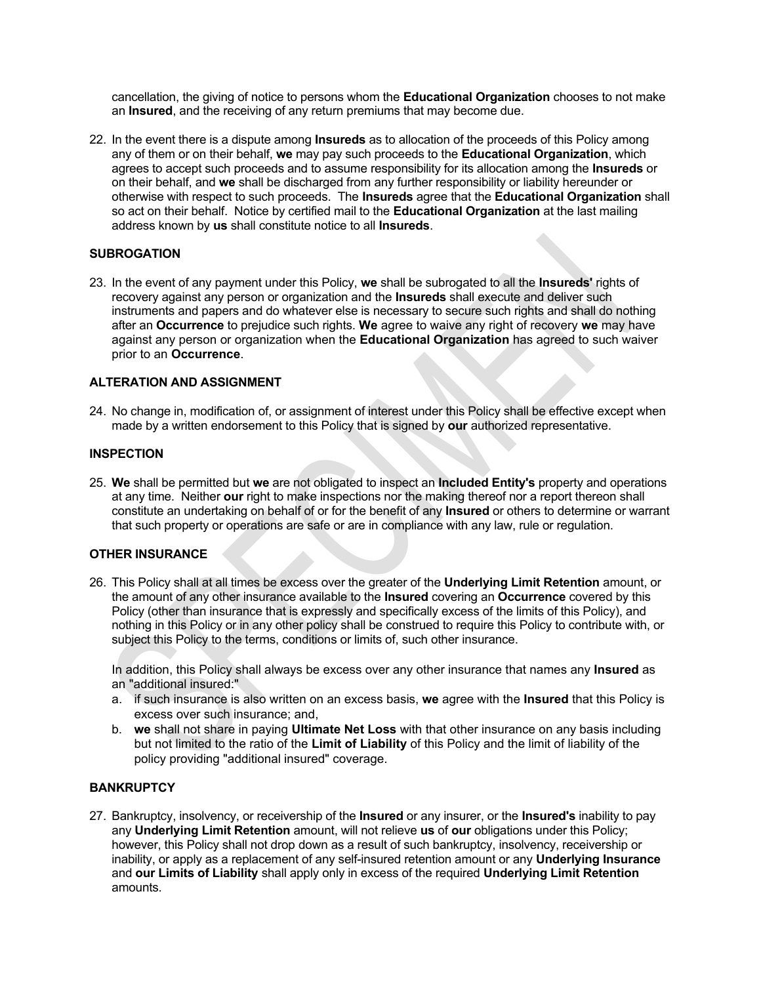cancellation, the giving of notice to persons whom the **Educational Organization** chooses to not make an **Insured**, and the receiving of any return premiums that may become due.

22. In the event there is a dispute among **Insureds** as to allocation of the proceeds of this Policy among any of them or on their behalf, **we** may pay such proceeds to the **Educational Organization**, which agrees to accept such proceeds and to assume responsibility for its allocation among the **Insureds** or on their behalf, and **we** shall be discharged from any further responsibility or liability hereunder or otherwise with respect to such proceeds. The **Insureds** agree that the **Educational Organization** shall so act on their behalf. Notice by certified mail to the **Educational Organization** at the last mailing address known by **us** shall constitute notice to all **Insureds**.

# **SUBROGATION**

23. In the event of any payment under this Policy, **we** shall be subrogated to all the **Insureds'** rights of recovery against any person or organization and the **Insureds** shall execute and deliver such instruments and papers and do whatever else is necessary to secure such rights and shall do nothing after an **Occurrence** to prejudice such rights. **We** agree to waive any right of recovery **we** may have against any person or organization when the **Educational Organization** has agreed to such waiver prior to an **Occurrence**.

### **ALTERATION AND ASSIGNMENT**

24. No change in, modification of, or assignment of interest under this Policy shall be effective except when made by a written endorsement to this Policy that is signed by **our** authorized representative.

### **INSPECTION**

25. **We** shall be permitted but **we** are not obligated to inspect an **Included Entity's** property and operations at any time. Neither **our** right to make inspections nor the making thereof nor a report thereon shall constitute an undertaking on behalf of or for the benefit of any **Insured** or others to determine or warrant that such property or operations are safe or are in compliance with any law, rule or regulation.

### **OTHER INSURANCE**

26. This Policy shall at all times be excess over the greater of the **Underlying Limit Retention** amount, or the amount of any other insurance available to the **Insured** covering an **Occurrence** covered by this Policy (other than insurance that is expressly and specifically excess of the limits of this Policy), and nothing in this Policy or in any other policy shall be construed to require this Policy to contribute with, or subject this Policy to the terms, conditions or limits of, such other insurance.

In addition, this Policy shall always be excess over any other insurance that names any **Insured** as an "additional insured:"

- a. if such insurance is also written on an excess basis, **we** agree with the **Insured** that this Policy is excess over such insurance; and,
- b. **we** shall not share in paying **Ultimate Net Loss** with that other insurance on any basis including but not limited to the ratio of the **Limit of Liability** of this Policy and the limit of liability of the policy providing "additional insured" coverage.

### **BANKRUPTCY**

27. Bankruptcy, insolvency, or receivership of the **Insured** or any insurer, or the **Insured's** inability to pay any **Underlying Limit Retention** amount, will not relieve **us** of **our** obligations under this Policy; however, this Policy shall not drop down as a result of such bankruptcy, insolvency, receivership or inability, or apply as a replacement of any self-insured retention amount or any **Underlying Insurance** and **our Limits of Liability** shall apply only in excess of the required **Underlying Limit Retention** amounts.